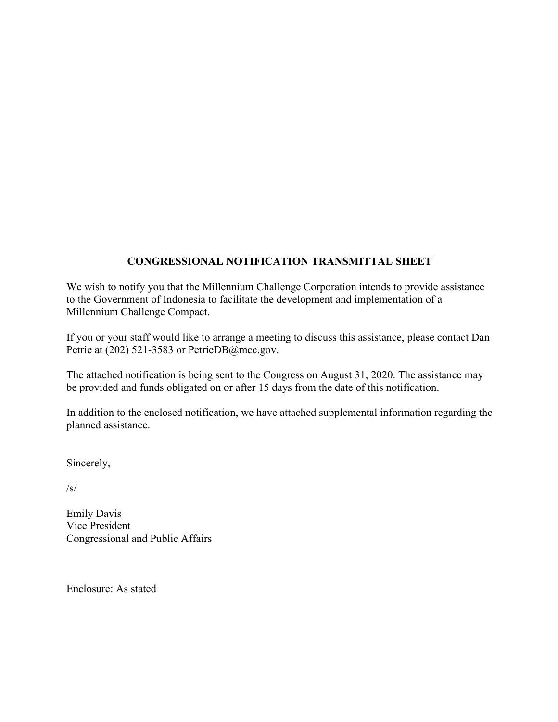## **CONGRESSIONAL NOTIFICATION TRANSMITTAL SHEET**

We wish to notify you that the Millennium Challenge Corporation intends to provide assistance to the Government of Indonesia to facilitate the development and implementation of a Millennium Challenge Compact.

If you or your staff would like to arrange a meeting to discuss this assistance, please contact Dan Petrie at (202) 521-3583 or PetrieDB@mcc.gov.

The attached notification is being sent to the Congress on August 31, 2020. The assistance may be provided and funds obligated on or after 15 days from the date of this notification.

In addition to the enclosed notification, we have attached supplemental information regarding the planned assistance.

Sincerely,

 $\sqrt{s}$ 

Emily Davis Vice President Congressional and Public Affairs

Enclosure: As stated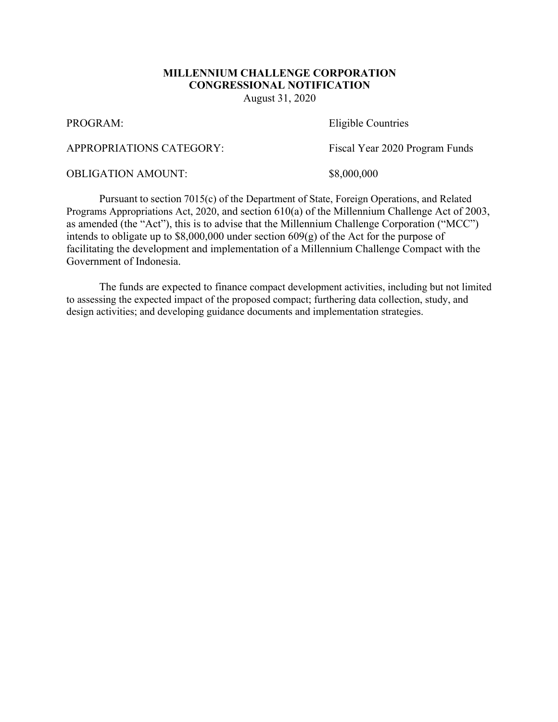## **MILLENNIUM CHALLENGE CORPORATION CONGRESSIONAL NOTIFICATION**

August 31, 2020

PROGRAM: Eligible Countries

APPROPRIATIONS CATEGORY: Fiscal Year 2020 Program Funds

OBLIGATION AMOUNT: \$8,000,000

Pursuant to section 7015(c) of the Department of State, Foreign Operations, and Related Programs Appropriations Act, 2020, and section 610(a) of the Millennium Challenge Act of 2003, as amended (the "Act"), this is to advise that the Millennium Challenge Corporation ("MCC") intends to obligate up to \$8,000,000 under section 609(g) of the Act for the purpose of facilitating the development and implementation of a Millennium Challenge Compact with the Government of Indonesia.

The funds are expected to finance compact development activities, including but not limited to assessing the expected impact of the proposed compact; furthering data collection, study, and design activities; and developing guidance documents and implementation strategies.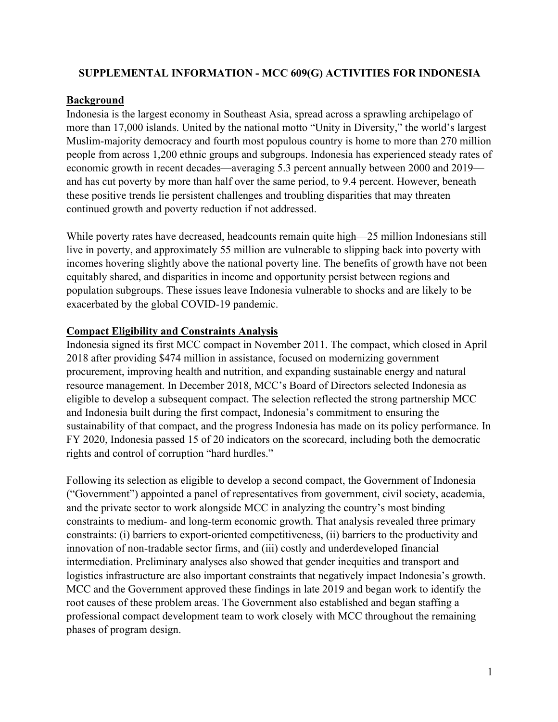# **SUPPLEMENTAL INFORMATION - MCC 609(G) ACTIVITIES FOR INDONESIA**

# **Background**

Indonesia is the largest economy in Southeast Asia, spread across a sprawling archipelago of more than 17,000 islands. United by the national motto "Unity in Diversity," the world's largest Muslim-majority democracy and fourth most populous country is home to more than 270 million people from across 1,200 ethnic groups and subgroups. Indonesia has experienced steady rates of economic growth in recent decades—averaging 5.3 percent annually between 2000 and 2019 and has cut poverty by more than half over the same period, to 9.4 percent. However, beneath these positive trends lie persistent challenges and troubling disparities that may threaten continued growth and poverty reduction if not addressed.

While poverty rates have decreased, headcounts remain quite high—25 million Indonesians still live in poverty, and approximately 55 million are vulnerable to slipping back into poverty with incomes hovering slightly above the national poverty line. The benefits of growth have not been equitably shared, and disparities in income and opportunity persist between regions and population subgroups. These issues leave Indonesia vulnerable to shocks and are likely to be exacerbated by the global COVID-19 pandemic.

## **Compact Eligibility and Constraints Analysis**

Indonesia signed its first MCC compact in November 2011. The compact, which closed in April 2018 after providing \$474 million in assistance, focused on modernizing government procurement, improving health and nutrition, and expanding sustainable energy and natural resource management. In December 2018, MCC's Board of Directors selected Indonesia as eligible to develop a subsequent compact. The selection reflected the strong partnership MCC and Indonesia built during the first compact, Indonesia's commitment to ensuring the sustainability of that compact, and the progress Indonesia has made on its policy performance. In FY 2020, Indonesia passed 15 of 20 indicators on the scorecard, including both the democratic rights and control of corruption "hard hurdles."

Following its selection as eligible to develop a second compact, the Government of Indonesia ("Government") appointed a panel of representatives from government, civil society, academia, and the private sector to work alongside MCC in analyzing the country's most binding constraints to medium- and long-term economic growth. That analysis revealed three primary constraints: (i) barriers to export-oriented competitiveness, (ii) barriers to the productivity and innovation of non-tradable sector firms, and (iii) costly and underdeveloped financial intermediation. Preliminary analyses also showed that gender inequities and transport and logistics infrastructure are also important constraints that negatively impact Indonesia's growth. MCC and the Government approved these findings in late 2019 and began work to identify the root causes of these problem areas. The Government also established and began staffing a professional compact development team to work closely with MCC throughout the remaining phases of program design.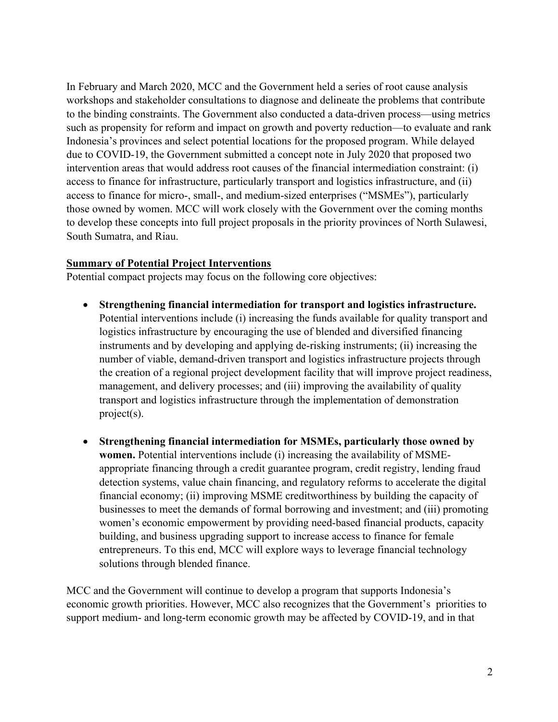In February and March 2020, MCC and the Government held a series of root cause analysis workshops and stakeholder consultations to diagnose and delineate the problems that contribute to the binding constraints. The Government also conducted a data-driven process—using metrics such as propensity for reform and impact on growth and poverty reduction—to evaluate and rank Indonesia's provinces and select potential locations for the proposed program. While delayed due to COVID-19, the Government submitted a concept note in July 2020 that proposed two intervention areas that would address root causes of the financial intermediation constraint: (i) access to finance for infrastructure, particularly transport and logistics infrastructure, and (ii) access to finance for micro-, small-, and medium-sized enterprises ("MSMEs"), particularly those owned by women. MCC will work closely with the Government over the coming months to develop these concepts into full project proposals in the priority provinces of North Sulawesi, South Sumatra, and Riau.

## **Summary of Potential Project Interventions**

Potential compact projects may focus on the following core objectives:

- **Strengthening financial intermediation for transport and logistics infrastructure.** Potential interventions include (i) increasing the funds available for quality transport and logistics infrastructure by encouraging the use of blended and diversified financing instruments and by developing and applying de-risking instruments; (ii) increasing the number of viable, demand-driven transport and logistics infrastructure projects through the creation of a regional project development facility that will improve project readiness, management, and delivery processes; and (iii) improving the availability of quality transport and logistics infrastructure through the implementation of demonstration project(s).
- **Strengthening financial intermediation for MSMEs, particularly those owned by women.** Potential interventions include (i) increasing the availability of MSMEappropriate financing through a credit guarantee program, credit registry, lending fraud detection systems, value chain financing, and regulatory reforms to accelerate the digital financial economy; (ii) improving MSME creditworthiness by building the capacity of businesses to meet the demands of formal borrowing and investment; and (iii) promoting women's economic empowerment by providing need-based financial products, capacity building, and business upgrading support to increase access to finance for female entrepreneurs. To this end, MCC will explore ways to leverage financial technology solutions through blended finance.

MCC and the Government will continue to develop a program that supports Indonesia's economic growth priorities. However, MCC also recognizes that the Government's priorities to support medium- and long-term economic growth may be affected by COVID-19, and in that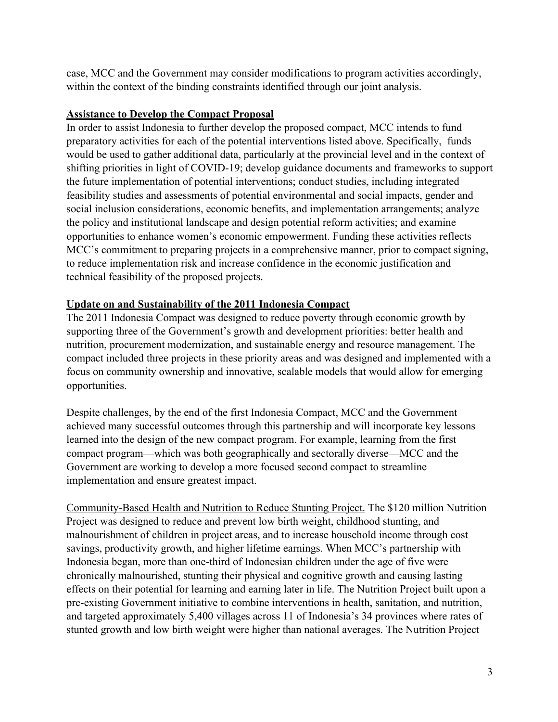case, MCC and the Government may consider modifications to program activities accordingly, within the context of the binding constraints identified through our joint analysis.

#### **Assistance to Develop the Compact Proposal**

In order to assist Indonesia to further develop the proposed compact, MCC intends to fund preparatory activities for each of the potential interventions listed above. Specifically, funds would be used to gather additional data, particularly at the provincial level and in the context of shifting priorities in light of COVID-19; develop guidance documents and frameworks to support the future implementation of potential interventions; conduct studies, including integrated feasibility studies and assessments of potential environmental and social impacts, gender and social inclusion considerations, economic benefits, and implementation arrangements; analyze the policy and institutional landscape and design potential reform activities; and examine opportunities to enhance women's economic empowerment. Funding these activities reflects MCC's commitment to preparing projects in a comprehensive manner, prior to compact signing, to reduce implementation risk and increase confidence in the economic justification and technical feasibility of the proposed projects.

## **Update on and Sustainability of the 2011 Indonesia Compact**

The 2011 Indonesia Compact was designed to reduce poverty through economic growth by supporting three of the Government's growth and development priorities: better health and nutrition, procurement modernization, and sustainable energy and resource management. The compact included three projects in these priority areas and was designed and implemented with a focus on community ownership and innovative, scalable models that would allow for emerging opportunities.

Despite challenges, by the end of the first Indonesia Compact, MCC and the Government achieved many successful outcomes through this partnership and will incorporate key lessons learned into the design of the new compact program. For example, learning from the first compact program—which was both geographically and sectorally diverse—MCC and the Government are working to develop a more focused second compact to streamline implementation and ensure greatest impact.

Community-Based Health and Nutrition to Reduce Stunting Project. The \$120 million Nutrition Project was designed to reduce and prevent low birth weight, childhood stunting, and malnourishment of children in project areas, and to increase household income through cost savings, productivity growth, and higher lifetime earnings. When MCC's partnership with Indonesia began, more than one-third of Indonesian children under the age of five were chronically malnourished, stunting their physical and cognitive growth and causing lasting effects on their potential for learning and earning later in life. The Nutrition Project built upon a pre-existing Government initiative to combine interventions in health, sanitation, and nutrition, and targeted approximately 5,400 villages across 11 of Indonesia's 34 provinces where rates of stunted growth and low birth weight were higher than national averages. The Nutrition Project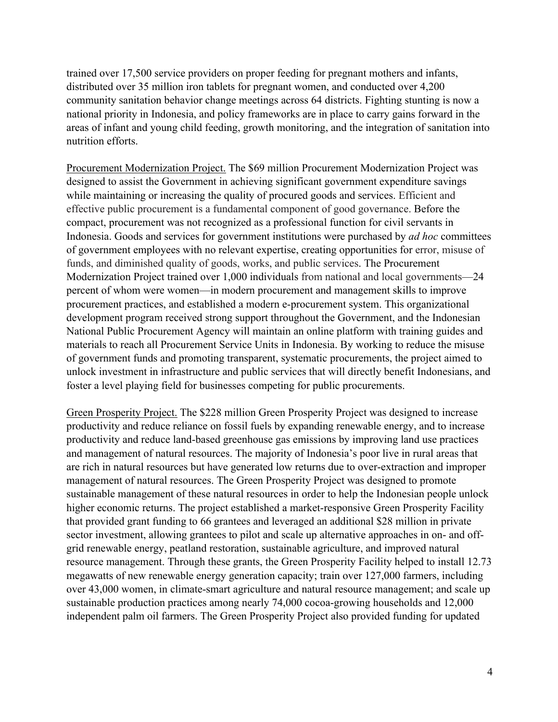trained over 17,500 service providers on proper feeding for pregnant mothers and infants, distributed over 35 million iron tablets for pregnant women, and conducted over 4,200 community sanitation behavior change meetings across 64 districts. Fighting stunting is now a national priority in Indonesia, and policy frameworks are in place to carry gains forward in the areas of infant and young child feeding, growth monitoring, and the integration of sanitation into nutrition efforts.

Procurement Modernization Project. The \$69 million Procurement Modernization Project was designed to assist the Government in achieving significant government expenditure savings while maintaining or increasing the quality of procured goods and services. Efficient and effective public procurement is a fundamental component of good governance. Before the compact, procurement was not recognized as a professional function for civil servants in Indonesia. Goods and services for government institutions were purchased by *ad hoc* committees of government employees with no relevant expertise, creating opportunities for error, misuse of funds, and diminished quality of goods, works, and public services. The Procurement Modernization Project trained over 1,000 individuals from national and local governments—24 percent of whom were women—in modern procurement and management skills to improve procurement practices, and established a modern e-procurement system. This organizational development program received strong support throughout the Government, and the Indonesian National Public Procurement Agency will maintain an online platform with training guides and materials to reach all Procurement Service Units in Indonesia. By working to reduce the misuse of government funds and promoting transparent, systematic procurements, the project aimed to unlock investment in infrastructure and public services that will directly benefit Indonesians, and foster a level playing field for businesses competing for public procurements.

Green Prosperity Project. The \$228 million Green Prosperity Project was designed to increase productivity and reduce reliance on fossil fuels by expanding renewable energy, and to increase productivity and reduce land-based greenhouse gas emissions by improving land use practices and management of natural resources. The majority of Indonesia's poor live in rural areas that are rich in natural resources but have generated low returns due to over-extraction and improper management of natural resources. The Green Prosperity Project was designed to promote sustainable management of these natural resources in order to help the Indonesian people unlock higher economic returns. The project established a market-responsive Green Prosperity Facility that provided grant funding to 66 grantees and leveraged an additional \$28 million in private sector investment, allowing grantees to pilot and scale up alternative approaches in on- and offgrid renewable energy, peatland restoration, sustainable agriculture, and improved natural resource management. Through these grants, the Green Prosperity Facility helped to install 12.73 megawatts of new renewable energy generation capacity; train over 127,000 farmers, including over 43,000 women, in climate-smart agriculture and natural resource management; and scale up sustainable production practices among nearly 74,000 cocoa-growing households and 12,000 independent palm oil farmers. The Green Prosperity Project also provided funding for updated